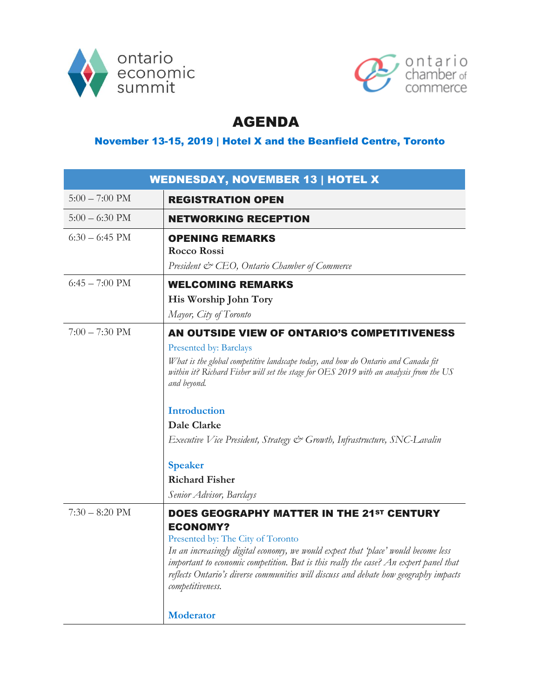



## AGENDA

## November 13-15, 2019 | Hotel X and the Beanfield Centre, Toronto

| <b>WEDNESDAY, NOVEMBER 13   HOTEL X</b> |                                                                                                                                                                                                                                                                                                                                                                                                                                                                      |
|-----------------------------------------|----------------------------------------------------------------------------------------------------------------------------------------------------------------------------------------------------------------------------------------------------------------------------------------------------------------------------------------------------------------------------------------------------------------------------------------------------------------------|
| $5:00 - 7:00 \text{ PM}$                | <b>REGISTRATION OPEN</b>                                                                                                                                                                                                                                                                                                                                                                                                                                             |
| $5:00 - 6:30$ PM                        | <b>NETWORKING RECEPTION</b>                                                                                                                                                                                                                                                                                                                                                                                                                                          |
| $6:30 - 6:45$ PM                        | <b>OPENING REMARKS</b><br><b>Rocco Rossi</b><br>President & CEO, Ontario Chamber of Commerce                                                                                                                                                                                                                                                                                                                                                                         |
| $6:45 - 7:00$ PM                        | <b>WELCOMING REMARKS</b>                                                                                                                                                                                                                                                                                                                                                                                                                                             |
|                                         | His Worship John Tory<br>Mayor, City of Toronto                                                                                                                                                                                                                                                                                                                                                                                                                      |
| $7:00 - 7:30$ PM                        | AN OUTSIDE VIEW OF ONTARIO'S COMPETITIVENESS<br><b>Presented by: Barclays</b><br>What is the global competitive landscape today, and how do Ontario and Canada fit<br>within it? Richard Fisher will set the stage for OES 2019 with an analysis from the US<br>and beyond.<br>Introduction<br><b>Dale Clarke</b><br>Executive Vice President, Strategy & Growth, Infrastructure, SNC-Lavalin<br><b>Speaker</b><br><b>Richard Fisher</b><br>Senior Advisor, Barclays |
| $7:30 - 8:20$ PM                        | <b>DOES GEOGRAPHY MATTER IN THE 21ST CENTURY</b><br><b>ECONOMY?</b><br>Presented by: The City of Toronto<br>In an increasingly digital economy, we would expect that 'place' would become less<br>important to economic competition. But is this really the case? An expert panel that<br>reflects Ontario's diverse communities will discuss and debate how geography impacts<br>competitiveness.<br><b>Moderator</b>                                               |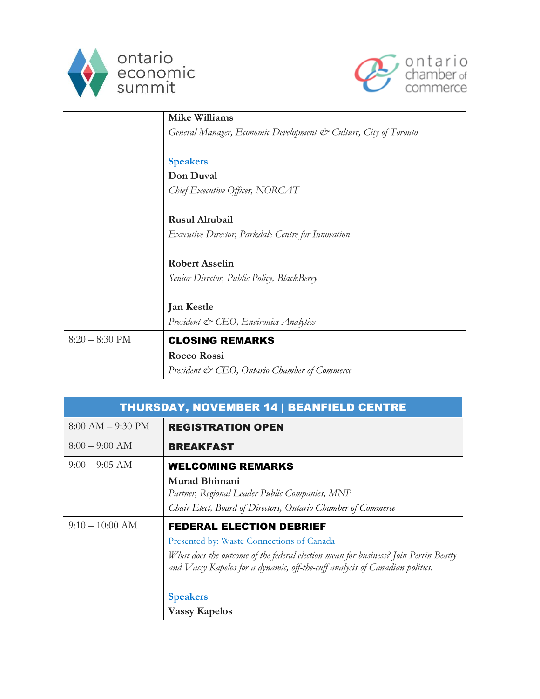



|                  | <b>Mike Williams</b>                                             |
|------------------|------------------------------------------------------------------|
|                  | General Manager, Economic Development & Culture, City of Toronto |
|                  |                                                                  |
|                  | <b>Speakers</b>                                                  |
|                  | Don Duval                                                        |
|                  | Chief Executive Officer, NORCAT                                  |
|                  |                                                                  |
|                  | <b>Rusul Alrubail</b>                                            |
|                  | Executive Director, Parkdale Centre for Innovation               |
|                  |                                                                  |
|                  | <b>Robert Asselin</b>                                            |
|                  | Senior Director, Public Policy, BlackBerry                       |
|                  |                                                                  |
|                  | <b>Jan Kestle</b>                                                |
|                  | President & CEO, Environics Analytics                            |
| $8:20 - 8:30$ PM | <b>CLOSING REMARKS</b>                                           |
|                  |                                                                  |
|                  | <b>Rocco Rossi</b>                                               |
|                  | President & CEO, Ontario Chamber of Commerce                     |

| <b>THURSDAY, NOVEMBER 14   BEANFIELD CENTRE</b> |                                                                                                                                                                     |
|-------------------------------------------------|---------------------------------------------------------------------------------------------------------------------------------------------------------------------|
| $8:00 AM - 9:30 PM$                             | <b>REGISTRATION OPEN</b>                                                                                                                                            |
| $8:00 - 9:00$ AM                                | <b>BREAKFAST</b>                                                                                                                                                    |
| $9:00 - 9:05$ AM                                | <b>WELCOMING REMARKS</b>                                                                                                                                            |
|                                                 | Murad Bhimani                                                                                                                                                       |
|                                                 | Partner, Regional Leader Public Companies, MNP                                                                                                                      |
|                                                 | Chair Elect, Board of Directors, Ontario Chamber of Commerce                                                                                                        |
| $9:10-10:00$ AM                                 | <b>FEDERAL ELECTION DEBRIEF</b>                                                                                                                                     |
|                                                 | Presented by: Waste Connections of Canada                                                                                                                           |
|                                                 | What does the outcome of the federal election mean for business? Join Perrin Beatty<br>and Vassy Kapelos for a dynamic, off-the-cuff analysis of Canadian politics. |
|                                                 |                                                                                                                                                                     |
|                                                 | <b>Speakers</b>                                                                                                                                                     |
|                                                 | <b>Vassy Kapelos</b>                                                                                                                                                |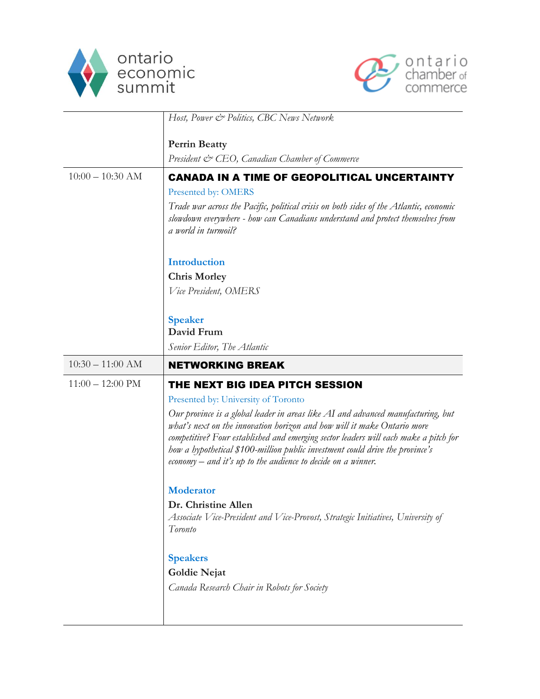



|                            | Host, Power & Politics, CBC News Network                                                                                                                                                                                                                                                                                                                                                                                                                                                                                                                                                                                                     |
|----------------------------|----------------------------------------------------------------------------------------------------------------------------------------------------------------------------------------------------------------------------------------------------------------------------------------------------------------------------------------------------------------------------------------------------------------------------------------------------------------------------------------------------------------------------------------------------------------------------------------------------------------------------------------------|
|                            | <b>Perrin Beatty</b><br>President & CEO, Canadian Chamber of Commerce                                                                                                                                                                                                                                                                                                                                                                                                                                                                                                                                                                        |
| $10:00 - 10:30$ AM         | <b>CANADA IN A TIME OF GEOPOLITICAL UNCERTAINTY</b><br>Presented by: OMERS<br>Trade war across the Pacific, political crisis on both sides of the Atlantic, economic<br>slowdown everywhere - how can Canadians understand and protect themselves from<br>a world in turmoil?                                                                                                                                                                                                                                                                                                                                                                |
|                            | <b>Introduction</b><br><b>Chris Morley</b><br>Vice President, OMERS                                                                                                                                                                                                                                                                                                                                                                                                                                                                                                                                                                          |
|                            | <b>Speaker</b><br>David Frum<br>Senior Editor, The Atlantic                                                                                                                                                                                                                                                                                                                                                                                                                                                                                                                                                                                  |
| $10:30 - 11:00$ AM         | <b>NETWORKING BREAK</b>                                                                                                                                                                                                                                                                                                                                                                                                                                                                                                                                                                                                                      |
| $11:00 - 12:00 \text{ PM}$ | THE NEXT BIG IDEA PITCH SESSION<br>Presented by: University of Toronto<br>Our province is a global leader in areas like AI and advanced manufacturing, but<br>what's next on the innovation horizon and how will it make Ontario more<br>competitive? Four established and emerging sector leaders will each make a pitch for<br>how a hypothetical \$100-million public investment could drive the province's<br>economy $-$ and it's up to the audience to decide on a winner.<br><b>Moderator</b><br>Dr. Christine Allen<br>Associate Vice-President and Vice-Provost, Strategic Initiatives, University of<br>Toronto<br><b>Speakers</b> |
|                            | <b>Goldie Nejat</b><br>Canada Research Chair in Robots for Society                                                                                                                                                                                                                                                                                                                                                                                                                                                                                                                                                                           |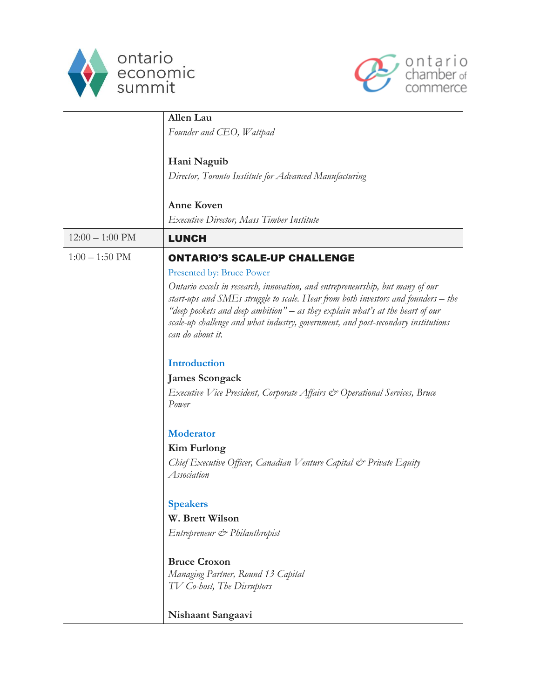



|                           | Allen Lau                                                                                                                                                                                                                                                                                                                                                    |
|---------------------------|--------------------------------------------------------------------------------------------------------------------------------------------------------------------------------------------------------------------------------------------------------------------------------------------------------------------------------------------------------------|
|                           | Founder and CEO, Wattpad                                                                                                                                                                                                                                                                                                                                     |
|                           | Hani Naguib                                                                                                                                                                                                                                                                                                                                                  |
|                           | Director, Toronto Institute for Advanced Manufacturing                                                                                                                                                                                                                                                                                                       |
|                           | <b>Anne Koven</b>                                                                                                                                                                                                                                                                                                                                            |
|                           | Executive Director, Mass Timber Institute                                                                                                                                                                                                                                                                                                                    |
| $12:00 - 1:00 \text{ PM}$ | <b>LUNCH</b>                                                                                                                                                                                                                                                                                                                                                 |
| $1:00 - 1:50 \text{ PM}$  | <b>ONTARIO'S SCALE-UP CHALLENGE</b>                                                                                                                                                                                                                                                                                                                          |
|                           | Presented by: Bruce Power                                                                                                                                                                                                                                                                                                                                    |
|                           | Ontario excels in research, innovation, and entrepreneurship, but many of our<br>start-ups and SMEs struggle to scale. Hear from both investors and founders – the<br>"deep pockets and deep ambition" – as they explain what's at the heart of our<br>scale-up challenge and what industry, government, and post-secondary institutions<br>can do about it. |
|                           | <b>Introduction</b>                                                                                                                                                                                                                                                                                                                                          |
|                           | <b>James Scongack</b>                                                                                                                                                                                                                                                                                                                                        |
|                           | Executive Vice President, Corporate Affairs & Operational Services, Bruce<br>Power                                                                                                                                                                                                                                                                           |
|                           | <b>Moderator</b>                                                                                                                                                                                                                                                                                                                                             |
|                           | <b>Kim Furlong</b>                                                                                                                                                                                                                                                                                                                                           |
|                           | Chief Executive Officer, Canadian Venture Capital & Private Equity<br>Association                                                                                                                                                                                                                                                                            |
|                           | <b>Speakers</b>                                                                                                                                                                                                                                                                                                                                              |
|                           | W. Brett Wilson                                                                                                                                                                                                                                                                                                                                              |
|                           | Entrepreneur & Philanthropist                                                                                                                                                                                                                                                                                                                                |
|                           | <b>Bruce Croxon</b><br>Managing Partner, Round 13 Capital<br>TV Co-host, The Disruptors                                                                                                                                                                                                                                                                      |
|                           | Nishaant Sangaavi                                                                                                                                                                                                                                                                                                                                            |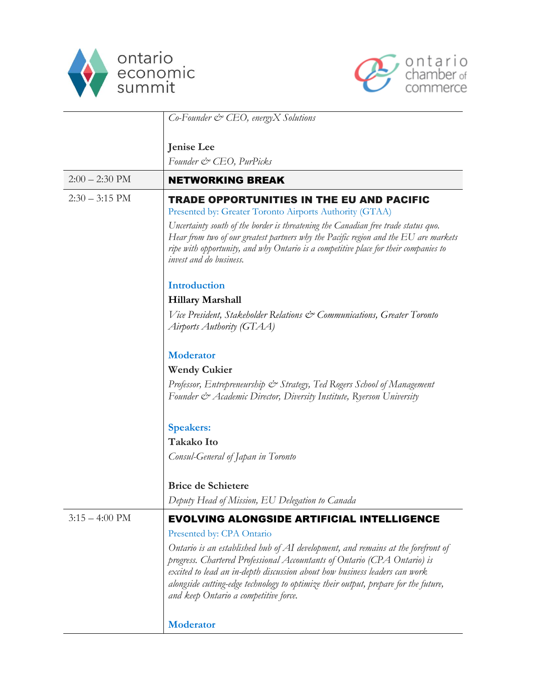



|                          | $Co\text{-}Fomder \text{ }c\text{*}$ CEO, energy X Solutions                                                                                                                                                                                                                                                                                                                                          |
|--------------------------|-------------------------------------------------------------------------------------------------------------------------------------------------------------------------------------------------------------------------------------------------------------------------------------------------------------------------------------------------------------------------------------------------------|
|                          |                                                                                                                                                                                                                                                                                                                                                                                                       |
|                          | Jenise Lee<br>Founder & CEO, PurPicks                                                                                                                                                                                                                                                                                                                                                                 |
| $2:00 - 2:30$ PM         | <b>NETWORKING BREAK</b>                                                                                                                                                                                                                                                                                                                                                                               |
| $2:30 - 3:15$ PM         | TRADE OPPORTUNITIES IN THE EU AND PACIFIC<br>Presented by: Greater Toronto Airports Authority (GTAA)<br>Uncertainty south of the border is threatening the Canadian free trade status quo.<br>Hear from two of our greatest partners why the Pacific region and the EU are markets<br>ripe with opportunity, and why Ontario is a competitive place for their companies to<br>invest and do business. |
|                          | Introduction                                                                                                                                                                                                                                                                                                                                                                                          |
|                          | <b>Hillary Marshall</b>                                                                                                                                                                                                                                                                                                                                                                               |
|                          | Vice President, Stakeholder Relations & Communications, Greater Toronto<br>Airports Authority (GTAA)                                                                                                                                                                                                                                                                                                  |
|                          | Moderator                                                                                                                                                                                                                                                                                                                                                                                             |
|                          | <b>Wendy Cukier</b>                                                                                                                                                                                                                                                                                                                                                                                   |
|                          | Professor, Entrepreneurship & Strategy, Ted Rogers School of Management<br>Founder & Academic Director, Diversity Institute, Ryerson University                                                                                                                                                                                                                                                       |
|                          | <b>Speakers:</b>                                                                                                                                                                                                                                                                                                                                                                                      |
|                          | <b>Takako Ito</b>                                                                                                                                                                                                                                                                                                                                                                                     |
|                          | Consul-General of Japan in Toronto                                                                                                                                                                                                                                                                                                                                                                    |
|                          | <b>Brice de Schietere</b>                                                                                                                                                                                                                                                                                                                                                                             |
|                          | Deputy Head of Mission, EU Delegation to Canada                                                                                                                                                                                                                                                                                                                                                       |
| $3:15 - 4:00 \text{ PM}$ | <b>EVOLVING ALONGSIDE ARTIFICIAL INTELLIGENCE</b>                                                                                                                                                                                                                                                                                                                                                     |
|                          | Presented by: CPA Ontario                                                                                                                                                                                                                                                                                                                                                                             |
|                          | Ontario is an established hub of AI development, and remains at the forefront of<br>progress. Chartered Professional Accountants of Ontario (CPA Ontario) is<br>excited to lead an in-depth discussion about how business leaders can work<br>alongside cutting-edge technology to optimize their output, prepare for the future,<br>and keep Ontario a competitive force.                            |
|                          | <b>Moderator</b>                                                                                                                                                                                                                                                                                                                                                                                      |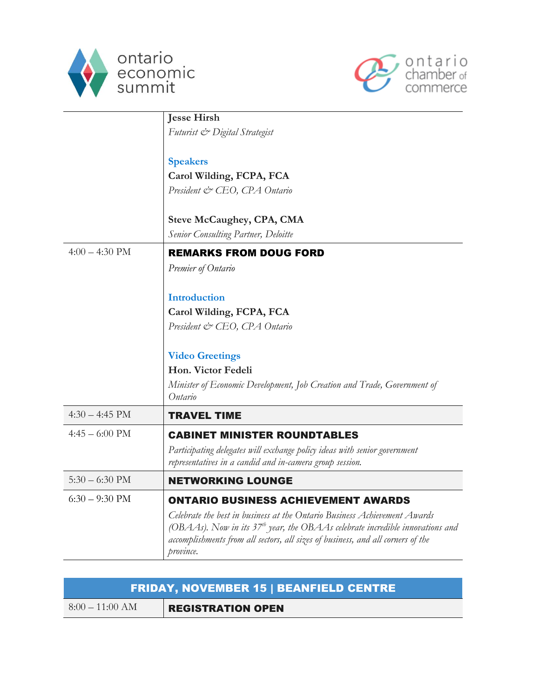



|                  | <b>Jesse Hirsh</b>                                                                                                                                                                                                                                           |
|------------------|--------------------------------------------------------------------------------------------------------------------------------------------------------------------------------------------------------------------------------------------------------------|
|                  | Futurist & Digital Strategist                                                                                                                                                                                                                                |
|                  |                                                                                                                                                                                                                                                              |
|                  | <b>Speakers</b>                                                                                                                                                                                                                                              |
|                  | Carol Wilding, FCPA, FCA                                                                                                                                                                                                                                     |
|                  | President & CEO, CPA Ontario                                                                                                                                                                                                                                 |
|                  | <b>Steve McCaughey, CPA, CMA</b>                                                                                                                                                                                                                             |
|                  | <b>Senior Consulting Partner, Deloitte</b>                                                                                                                                                                                                                   |
| $4:00 - 4:30$ PM | <b>REMARKS FROM DOUG FORD</b>                                                                                                                                                                                                                                |
|                  | Premier of Ontario                                                                                                                                                                                                                                           |
|                  | <b>Introduction</b>                                                                                                                                                                                                                                          |
|                  | Carol Wilding, FCPA, FCA                                                                                                                                                                                                                                     |
|                  | President & CEO, CPA Ontario                                                                                                                                                                                                                                 |
|                  | <b>Video Greetings</b>                                                                                                                                                                                                                                       |
|                  | Hon. Victor Fedeli                                                                                                                                                                                                                                           |
|                  | Minister of Economic Development, Job Creation and Trade, Government of<br>Ontario                                                                                                                                                                           |
| $4:30 - 4:45$ PM | <b>TRAVEL TIME</b>                                                                                                                                                                                                                                           |
| $4:45 - 6:00$ PM | <b>CABINET MINISTER ROUNDTABLES</b>                                                                                                                                                                                                                          |
|                  | Participating delegates will exchange policy ideas with senior government<br>representatives in a candid and in-camera group session.                                                                                                                        |
| $5:30 - 6:30$ PM | <b>NETWORKING LOUNGE</b>                                                                                                                                                                                                                                     |
| $6:30 - 9:30$ PM | <b>ONTARIO BUSINESS ACHIEVEMENT AWARDS</b>                                                                                                                                                                                                                   |
|                  | Celebrate the best in business at the Ontario Business Achievement Awards<br>(OBAAs). Now in its $37th$ year, the OBAAs celebrate incredible innovations and<br>accomplishments from all sectors, all sizes of business, and all corners of the<br>province. |

| FRIDAY, NOVEMBER 15   BEANFIELD CENTRE |                          |
|----------------------------------------|--------------------------|
| $8:00-11:00 AM$                        | <b>REGISTRATION OPEN</b> |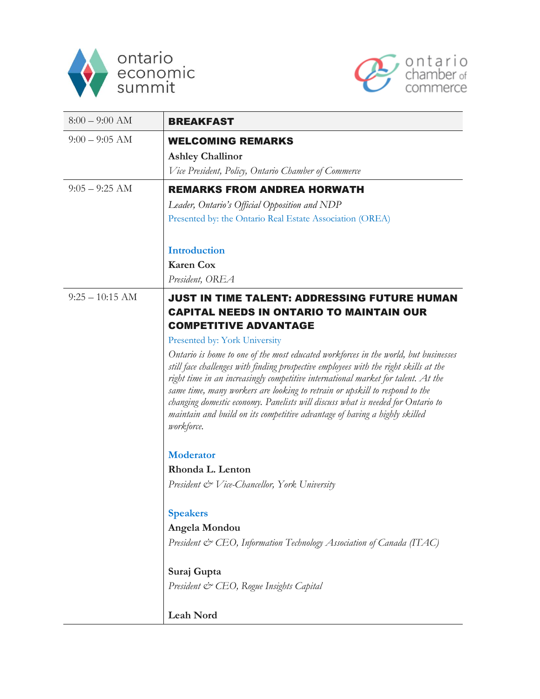



| $8:00 - 9:00$ AM  | <b>BREAKFAST</b>                                                                                                                                                                                                                                                                                                                                                                                                                                                                                                                |
|-------------------|---------------------------------------------------------------------------------------------------------------------------------------------------------------------------------------------------------------------------------------------------------------------------------------------------------------------------------------------------------------------------------------------------------------------------------------------------------------------------------------------------------------------------------|
| $9:00 - 9:05$ AM  | <b>WELCOMING REMARKS</b>                                                                                                                                                                                                                                                                                                                                                                                                                                                                                                        |
|                   | <b>Ashley Challinor</b>                                                                                                                                                                                                                                                                                                                                                                                                                                                                                                         |
|                   | Vice President, Policy, Ontario Chamber of Commerce                                                                                                                                                                                                                                                                                                                                                                                                                                                                             |
| $9:05 - 9:25$ AM  | <b>REMARKS FROM ANDREA HORWATH</b>                                                                                                                                                                                                                                                                                                                                                                                                                                                                                              |
|                   | Leader, Ontario's Official Opposition and NDP                                                                                                                                                                                                                                                                                                                                                                                                                                                                                   |
|                   | Presented by: the Ontario Real Estate Association (OREA)                                                                                                                                                                                                                                                                                                                                                                                                                                                                        |
|                   | <b>Introduction</b>                                                                                                                                                                                                                                                                                                                                                                                                                                                                                                             |
|                   | <b>Karen Cox</b>                                                                                                                                                                                                                                                                                                                                                                                                                                                                                                                |
|                   | President, OREA                                                                                                                                                                                                                                                                                                                                                                                                                                                                                                                 |
| $9:25 - 10:15$ AM | <b>JUST IN TIME TALENT: ADDRESSING FUTURE HUMAN</b><br><b>CAPITAL NEEDS IN ONTARIO TO MAINTAIN OUR</b><br><b>COMPETITIVE ADVANTAGE</b>                                                                                                                                                                                                                                                                                                                                                                                          |
|                   | Presented by: York University                                                                                                                                                                                                                                                                                                                                                                                                                                                                                                   |
|                   | Ontario is home to one of the most educated workforces in the world, but businesses<br>still face challenges with finding prospective employees with the right skills at the<br>right time in an increasingly competitive international market for talent. At the<br>same time, many workers are looking to retrain or upskill to respond to the<br>changing domestic economy. Panelists will discuss what is needed for Ontario to<br>maintain and build on its competitive advantage of having a highly skilled<br>workforce. |
|                   | <b>Moderator</b>                                                                                                                                                                                                                                                                                                                                                                                                                                                                                                                |
|                   | Rhonda L. Lenton                                                                                                                                                                                                                                                                                                                                                                                                                                                                                                                |
|                   | President & Vice-Chancellor, York University                                                                                                                                                                                                                                                                                                                                                                                                                                                                                    |
|                   | <b>Speakers</b>                                                                                                                                                                                                                                                                                                                                                                                                                                                                                                                 |
|                   | Angela Mondou                                                                                                                                                                                                                                                                                                                                                                                                                                                                                                                   |
|                   | President & CEO, Information Technology Association of Canada (ITAC)                                                                                                                                                                                                                                                                                                                                                                                                                                                            |
|                   | Suraj Gupta                                                                                                                                                                                                                                                                                                                                                                                                                                                                                                                     |
|                   | President & CEO, Rogue Insights Capital                                                                                                                                                                                                                                                                                                                                                                                                                                                                                         |
|                   | <b>Leah Nord</b>                                                                                                                                                                                                                                                                                                                                                                                                                                                                                                                |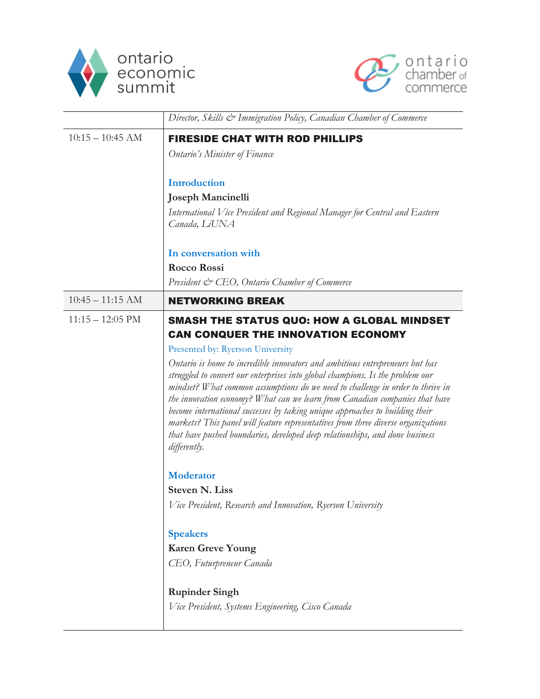



|                            | Director, Skills & Immigration Policy, Canadian Chamber of Commerce                                                                                                                                                                                                                                                                                                                                                                                                                                                                                                                                  |
|----------------------------|------------------------------------------------------------------------------------------------------------------------------------------------------------------------------------------------------------------------------------------------------------------------------------------------------------------------------------------------------------------------------------------------------------------------------------------------------------------------------------------------------------------------------------------------------------------------------------------------------|
| $10:15 - 10:45$ AM         | <b>FIRESIDE CHAT WITH ROD PHILLIPS</b>                                                                                                                                                                                                                                                                                                                                                                                                                                                                                                                                                               |
|                            | Ontario's Minister of Finance                                                                                                                                                                                                                                                                                                                                                                                                                                                                                                                                                                        |
|                            | <b>Introduction</b>                                                                                                                                                                                                                                                                                                                                                                                                                                                                                                                                                                                  |
|                            | <b>Joseph Mancinelli</b>                                                                                                                                                                                                                                                                                                                                                                                                                                                                                                                                                                             |
|                            | International Vice President and Regional Manager for Central and Eastern<br>Canada, LiUNA                                                                                                                                                                                                                                                                                                                                                                                                                                                                                                           |
|                            | In conversation with                                                                                                                                                                                                                                                                                                                                                                                                                                                                                                                                                                                 |
|                            | Rocco Rossi                                                                                                                                                                                                                                                                                                                                                                                                                                                                                                                                                                                          |
|                            | President & CEO, Ontario Chamber of Commerce                                                                                                                                                                                                                                                                                                                                                                                                                                                                                                                                                         |
| $10:45 - 11:15$ AM         | <b>NETWORKING BREAK</b>                                                                                                                                                                                                                                                                                                                                                                                                                                                                                                                                                                              |
| $11:15 - 12:05 \text{ PM}$ | SMASH THE STATUS QUO: HOW A GLOBAL MINDSET<br><b>CAN CONQUER THE INNOVATION ECONOMY</b>                                                                                                                                                                                                                                                                                                                                                                                                                                                                                                              |
|                            | Presented by: Ryerson University                                                                                                                                                                                                                                                                                                                                                                                                                                                                                                                                                                     |
|                            | Ontario is home to incredible innovators and ambitious entrepreneurs but has<br>struggled to convert our enterprises into global champions. Is the problem our<br>mindset? What common assumptions do we need to challenge in order to thrive in<br>the innovation economy? What can we learn from Canadian companies that have<br>become international successes by taking unique approaches to building their<br>markets? This panel will feature representatives from three diverse organizations<br>that have pushed boundaries, developed deep relationships, and done business<br>differently. |
|                            | <b>Moderator</b>                                                                                                                                                                                                                                                                                                                                                                                                                                                                                                                                                                                     |
|                            | <b>Steven N. Liss</b>                                                                                                                                                                                                                                                                                                                                                                                                                                                                                                                                                                                |
|                            | Vice President, Research and Innovation, Ryerson University                                                                                                                                                                                                                                                                                                                                                                                                                                                                                                                                          |
|                            | <b>Speakers</b>                                                                                                                                                                                                                                                                                                                                                                                                                                                                                                                                                                                      |
|                            | <b>Karen Greve Young</b>                                                                                                                                                                                                                                                                                                                                                                                                                                                                                                                                                                             |
|                            | CEO, Futurpreneur Canada                                                                                                                                                                                                                                                                                                                                                                                                                                                                                                                                                                             |
|                            | <b>Rupinder Singh</b>                                                                                                                                                                                                                                                                                                                                                                                                                                                                                                                                                                                |
|                            | Vice President, Systems Engineering, Cisco Canada                                                                                                                                                                                                                                                                                                                                                                                                                                                                                                                                                    |